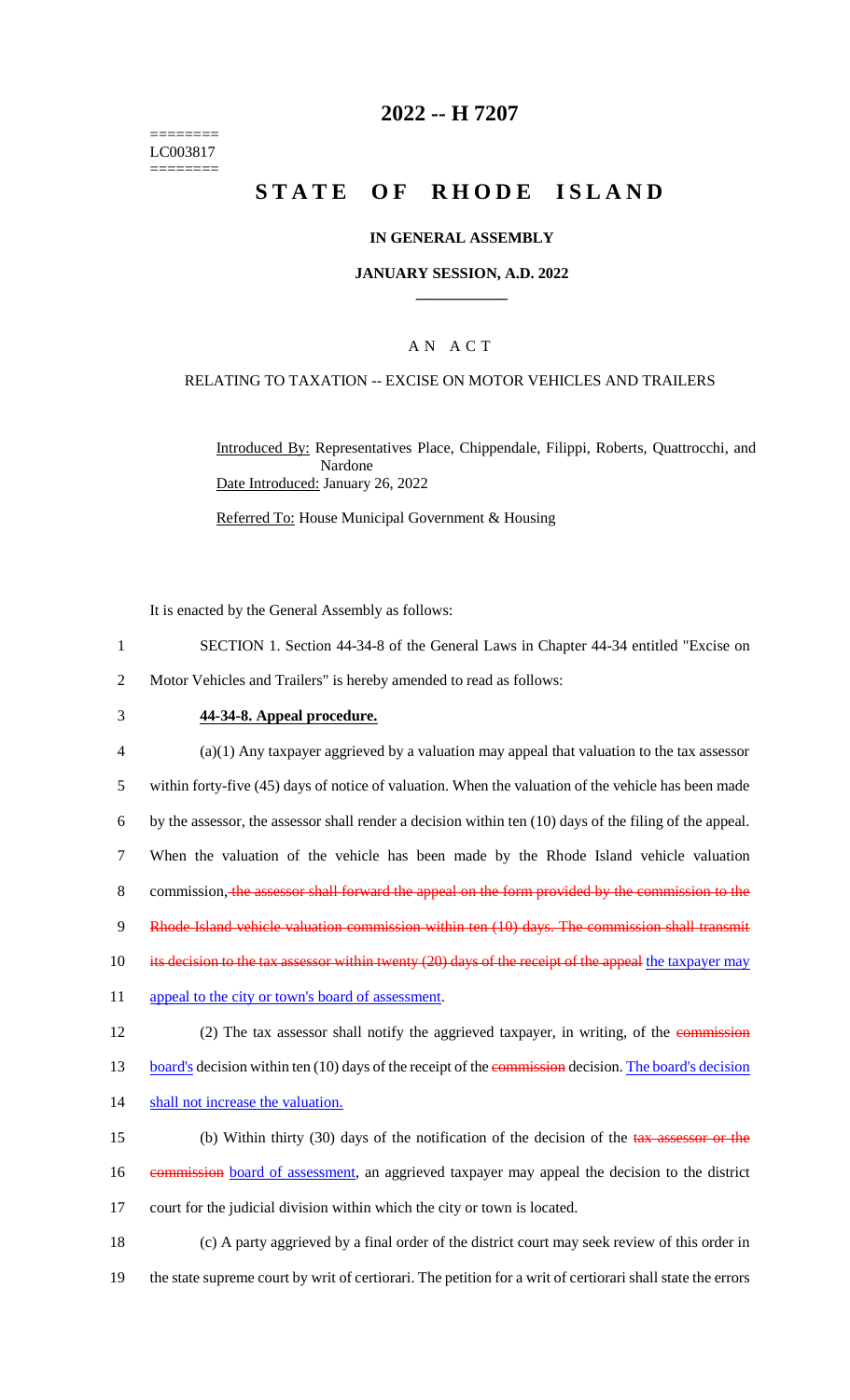======== LC003817 ========

# **2022 -- H 7207**

# **STATE OF RHODE ISLAND**

### **IN GENERAL ASSEMBLY**

### **JANUARY SESSION, A.D. 2022 \_\_\_\_\_\_\_\_\_\_\_\_**

## A N A C T

### RELATING TO TAXATION -- EXCISE ON MOTOR VEHICLES AND TRAILERS

Introduced By: Representatives Place, Chippendale, Filippi, Roberts, Quattrocchi, and Nardone Date Introduced: January 26, 2022

Referred To: House Municipal Government & Housing

It is enacted by the General Assembly as follows:

- 1 SECTION 1. Section 44-34-8 of the General Laws in Chapter 44-34 entitled "Excise on 2 Motor Vehicles and Trailers" is hereby amended to read as follows:
- 3 **44-34-8. Appeal procedure.**

4 (a)(1) Any taxpayer aggrieved by a valuation may appeal that valuation to the tax assessor 5 within forty-five (45) days of notice of valuation. When the valuation of the vehicle has been made 6 by the assessor, the assessor shall render a decision within ten (10) days of the filing of the appeal. 7 When the valuation of the vehicle has been made by the Rhode Island vehicle valuation 8 commission, the assessor shall forward the appeal on the form provided by the commission to the 9 Rhode Island vehicle valuation commission within ten (10) days. The commission shall transmit 10 its decision to the tax assessor within twenty (20) days of the receipt of the appeal the taxpayer may 11 appeal to the city or town's board of assessment. 12 (2) The tax assessor shall notify the aggrieved taxpayer, in writing, of the commission 13 board's decision within ten (10) days of the receipt of the commission decision. The board's decision 14 shall not increase the valuation. 15 (b) Within thirty (30) days of the notification of the decision of the tax assessor or the 16 commission board of assessment, an aggrieved taxpayer may appeal the decision to the district

17 court for the judicial division within which the city or town is located.

18 (c) A party aggrieved by a final order of the district court may seek review of this order in 19 the state supreme court by writ of certiorari. The petition for a writ of certiorari shall state the errors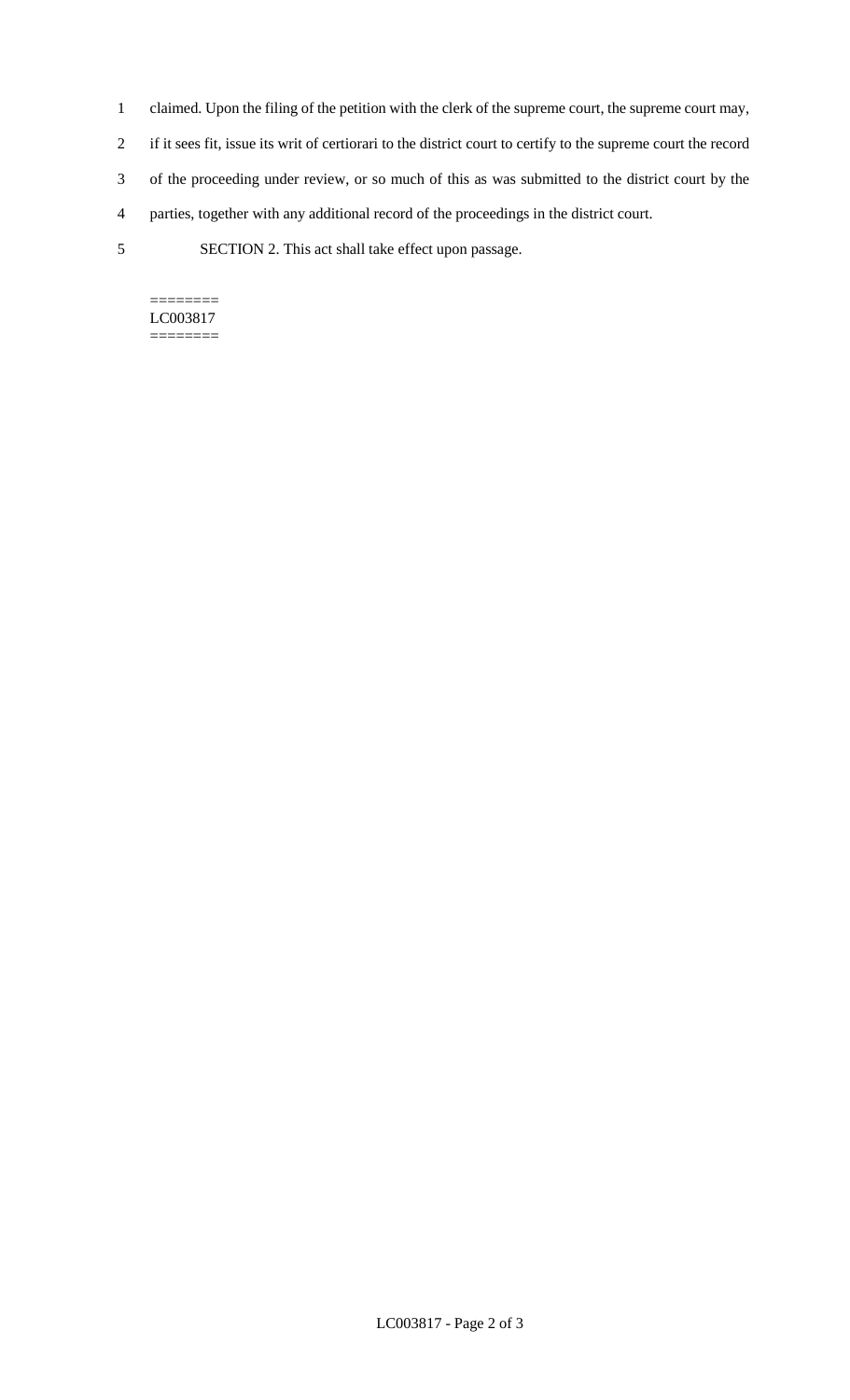- 1 claimed. Upon the filing of the petition with the clerk of the supreme court, the supreme court may,
- 2 if it sees fit, issue its writ of certiorari to the district court to certify to the supreme court the record
- 3 of the proceeding under review, or so much of this as was submitted to the district court by the
- 4 parties, together with any additional record of the proceedings in the district court.
- 5 SECTION 2. This act shall take effect upon passage.

======== LC003817 ========